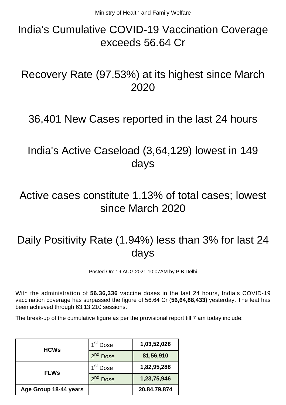## India's Cumulative COVID-19 Vaccination Coverage exceeds 56.64 Cr

### Recovery Rate (97.53%) at its highest since March 2020

#### 36,401 New Cases reported in the last 24 hours

### India's Active Caseload (3,64,129) lowest in 149 days

### Active cases constitute 1.13% of total cases; lowest since March 2020

# Daily Positivity Rate (1.94%) less than 3% for last 24 days

Posted On: 19 AUG 2021 10:07AM by PIB Delhi

With the administration of **56,36,336** vaccine doses in the last 24 hours, India's COVID-19 vaccination coverage has surpassed the figure of 56.64 Cr (**56,64,88,433)** yesterday. The feat has been achieved through 63,13,210 sessions.

The break-up of the cumulative figure as per the provisional report till 7 am today include:

| <b>HCWs</b>           | 1 <sup>st</sup> Dose | 1,03,52,028  |
|-----------------------|----------------------|--------------|
|                       | 2 <sup>nd</sup> Dose | 81,56,910    |
| <b>FLWs</b>           | 1 <sup>st</sup> Dose | 1,82,95,288  |
|                       | <b>Dose</b>          | 1,23,75,946  |
| Age Group 18-44 years |                      | 20,84,79,874 |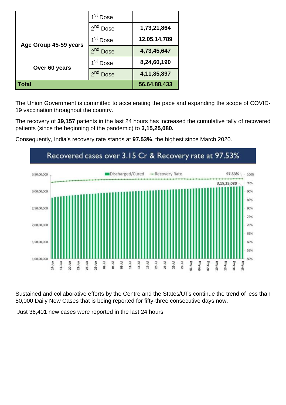|                       | 1 <sup>st</sup> Dose    |                |
|-----------------------|-------------------------|----------------|
|                       | 2 <sup>nd</sup> Dose    | 1,73,21,864    |
| Age Group 45-59 years | 1 <sup>st</sup> Dose    | 12,05,14,789   |
|                       | 2 <sup>nd</sup> Dose    | 4,73,45,647    |
| Over 60 years         | 1 <sup>st</sup> Dose    | 8,24,60,190    |
|                       | $2^{nd}$<br><b>Dose</b> | 4, 11, 85, 897 |
| Total                 |                         | 56,64,88,433   |

The Union Government is committed to accelerating the pace and expanding the scope of COVID-19 vaccination throughout the country.

The recovery of **39,157** patients in the last 24 hours has increased the cumulative tally of recovered patients (since the beginning of the pandemic) to **3,15,25,080.**



Consequently, India's recovery rate stands at **97.53%**, the highest since March 2020.

Sustained and collaborative efforts by the Centre and the States/UTs continue the trend of less than 50,000 Daily New Cases that is being reported for fifty-three consecutive days now.

Just 36,401 new cases were reported in the last 24 hours.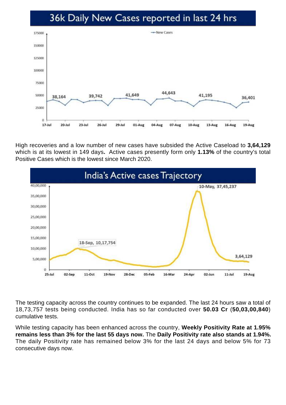#### 36k Daily New Cases reported in last 24 hrs



High recoveries and a low number of new cases have subsided the Active Caseload to **3,64,129** which is at its lowest in 149 days**.** Active cases presently form only **1.13%** of the country's total Positive Cases which is the lowest since March 2020.



The testing capacity across the country continues to be expanded. The last 24 hours saw a total of 18,73,757 tests being conducted. India has so far conducted over **50.03 Cr** (**50,03,00,840**) cumulative tests.

While testing capacity has been enhanced across the country, **Weekly Positivity Rate at 1.95% remains less than 3% for the last 55 days now.** The **Daily Positivity rate also stands at 1.94%.** The daily Positivity rate has remained below 3% for the last 24 days and below 5% for 73 consecutive days now.